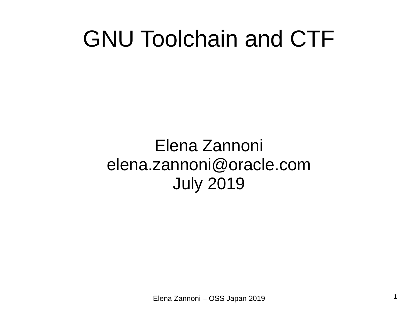#### GNU Toolchain and CTF

#### Elena Zannoni elena.zannoni@oracle.com July 2019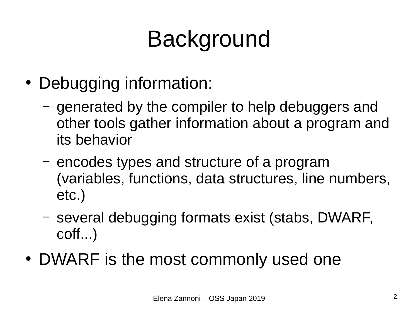# Background

- Debugging information:
	- generated by the compiler to help debuggers and other tools gather information about a program and its behavior
	- encodes types and structure of a program (variables, functions, data structures, line numbers, etc.)
	- several debugging formats exist (stabs, DWARF, coff...)
- DWARF is the most commonly used one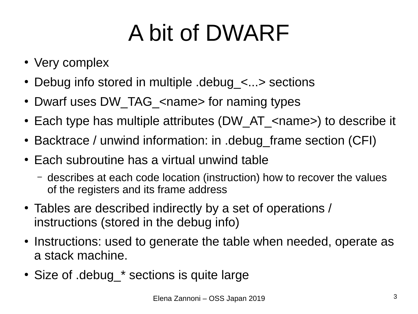# A bit of DWARF

- Very complex
- Debug info stored in multiple  $de$  debug  $\leq$ ...> sections
- Dwarf uses DW TAG <name> for naming types
- Each type has multiple attributes (DW AT <name>) to describe it
- Backtrace / unwind information: in .debug\_frame section (CFI)
- Each subroutine has a virtual unwind table
	- describes at each code location (instruction) how to recover the values of the registers and its frame address
- Tables are described indirectly by a set of operations / instructions (stored in the debug info)
- Instructions: used to generate the table when needed, operate as a stack machine.
- Size of .debug \* sections is quite large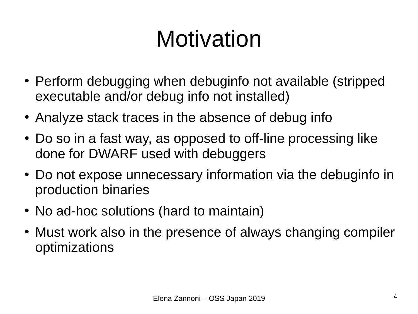# Motivation

- Perform debugging when debuginfo not available (stripped executable and/or debug info not installed)
- Analyze stack traces in the absence of debug info
- Do so in a fast way, as opposed to off-line processing like done for DWARF used with debuggers
- Do not expose unnecessary information via the debuginfo in production binaries
- No ad-hoc solutions (hard to maintain)
- Must work also in the presence of always changing compiler optimizations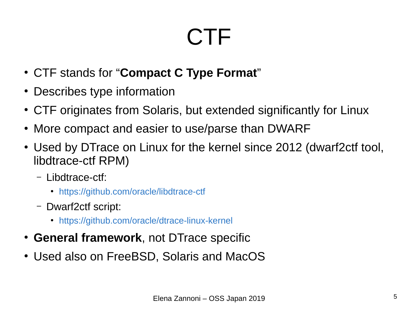#### **CTF**

- CTF stands for "**Compact C Type Format**"
- Describes type information
- CTF originates from Solaris, but extended significantly for Linux
- More compact and easier to use/parse than DWARF
- Used by DTrace on Linux for the kernel since 2012 (dwarf2ctf tool, libdtrace-ctf RPM)
	- Libdtrace-ctf:
		- <https://github.com/oracle/libdtrace-ctf>
	- Dwarf2ctf script:
		- <https://github.com/oracle/dtrace-linux-kernel>
- **General framework**, not DTrace specific
- Used also on FreeBSD, Solaris and MacOS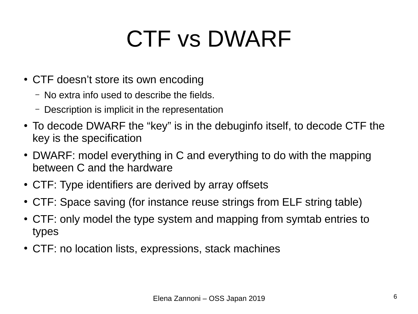#### CTF vs DWARF

- CTF doesn't store its own encoding
	- No extra info used to describe the fields.
	- Description is implicit in the representation
- To decode DWARF the "key" is in the debuginfo itself, to decode CTF the key is the specification
- DWARF: model everything in C and everything to do with the mapping between C and the hardware
- CTF: Type identifiers are derived by array offsets
- CTF: Space saving (for instance reuse strings from ELF string table)
- CTF: only model the type system and mapping from symtab entries to types
- CTF: no location lists, expressions, stack machines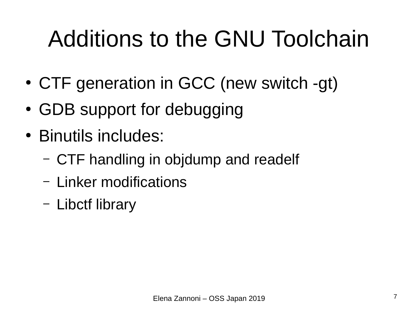# Additions to the GNU Toolchain

- CTF generation in GCC (new switch -gt)
- GDB support for debugging
- Binutils includes:
	- CTF handling in objdump and readelf
	- Linker modifications
	- Libctf library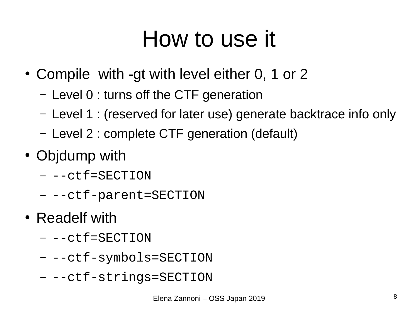#### How to use it

- Compile with -gt with level either 0, 1 or 2
	- Level 0 : turns off the CTF generation
	- Level 1 : (reserved for later use) generate backtrace info only
	- Level 2 : complete CTF generation (default)
- Objdump with
	- --ctf=SECTION
	- --ctf-parent=SECTION
- Readelf with
	- --ctf=SECTION
	- --ctf-symbols=SECTION
	- -- ctf-strings=SECTION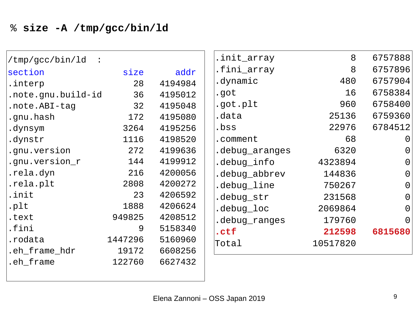| /tmp/gcc/bin/ld    |         |         | .init_array    | 8        | 6757888               |
|--------------------|---------|---------|----------------|----------|-----------------------|
| section            | size    | addr    | .fini_array    | 8        | 6757896               |
| .interp            | 28      | 4194984 | .dynamic       | 480      | 6757904               |
| .note.gnu.build-id | 36      | 4195012 | .got           | 16       | 6758384               |
| .note.ABI-tag      | 32      | 4195048 | .got.plt       | 960      | 6758400               |
| .gnu.hash          | 172     | 4195080 | .data          | 25136    | 6759360               |
| .dynsym            | 3264    | 4195256 | .bss           | 22976    | 6784512               |
| .dynstr            | 1116    | 4198520 | .comment       | 68       | $\Theta$              |
| .gnu.version       | 272     | 4199636 | .debug_aranges | 6320     | $\Theta$              |
| .gnu.version_r     | 144     | 4199912 | .debug_info    | 4323894  | $\boldsymbol{\Theta}$ |
| .rela.dyn          | 216     | 4200056 | .debug_abbrev  | 144836   | $\boldsymbol{\Theta}$ |
| .rela.plt          | 2808    | 4200272 | .debug_line    | 750267   | $\boldsymbol{\Theta}$ |
| .init              | 23      | 4206592 | .debug_str     | 231568   | $\boldsymbol{\Theta}$ |
| .plt               | 1888    | 4206624 | .debug_loc     | 2069864  | $\boldsymbol{\Theta}$ |
| .text              | 949825  | 4208512 | .debug_ranges  | 179760   | $\Theta$              |
| .fini              | 9       | 5158340 | .ctf           | 212598   | 6815680               |
| .rodata            | 1447296 | 5160960 | Total          | 10517820 |                       |
| .eh_frame_hdr      | 19172   | 6608256 |                |          |                       |
| .eh_frame          | 122760  | 6627432 |                |          |                       |
|                    |         |         |                |          |                       |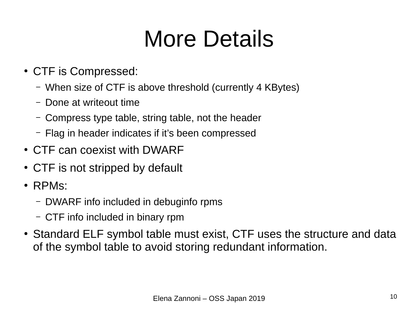### More Details

- CTF is Compressed:
	- When size of CTF is above threshold (currently 4 KBytes)
	- Done at writeout time
	- Compress type table, string table, not the header
	- Flag in header indicates if it's been compressed
- CTF can coexist with DWARF
- CTF is not stripped by default
- $\cdot$  RPMs:
	- DWARF info included in debuginfo rpms
	- CTF info included in binary rpm
- Standard ELF symbol table must exist, CTF uses the structure and data of the symbol table to avoid storing redundant information.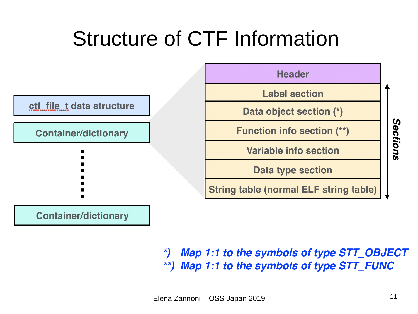#### Structure of CTF Information



Map 1:1 to the symbols of type STT\_OBJECT  $\boldsymbol{r}$ Map 1:1 to the symbols of type STT\_FUNC  $\star\star$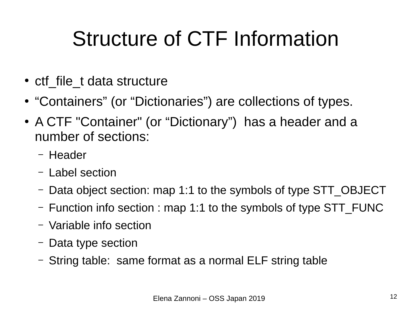#### Structure of CTF Information

- ctf file t data structure
- "Containers" (or "Dictionaries") are collections of types.
- A CTF "Container" (or "Dictionary") has a header and a number of sections:
	- Header
	- Label section
	- Data object section: map 1:1 to the symbols of type STT\_OBJECT
	- Function info section : map 1:1 to the symbols of type STT\_FUNC
	- Variable info section
	- Data type section
	- String table: same format as a normal ELF string table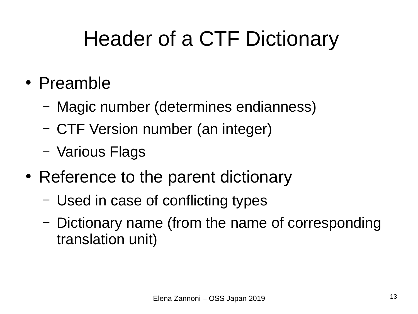#### Header of a CTF Dictionary

- Preamble
	- Magic number (determines endianness)
	- CTF Version number (an integer)
	- Various Flags
- Reference to the parent dictionary
	- Used in case of conflicting types
	- Dictionary name (from the name of corresponding translation unit)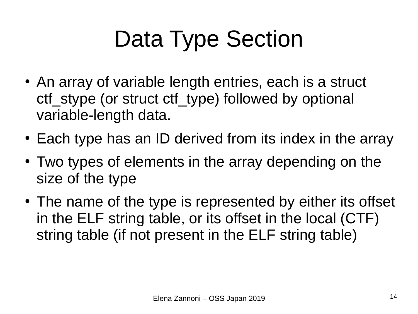# Data Type Section

- An array of variable length entries, each is a struct ctf stype (or struct ctf type) followed by optional variable-length data.
- Each type has an ID derived from its index in the array
- Two types of elements in the array depending on the size of the type
- The name of the type is represented by either its offset in the ELF string table, or its offset in the local (CTF) string table (if not present in the ELF string table)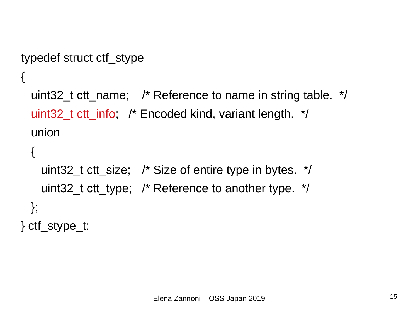```
typedef struct ctf_stype
{
 uint32 t ctt name; /* Reference to name in string table. */uint32 t ctt info; /* Encoded kind, variant length. */ union
 {
```

```
uint32 t ctt size; /* Size of entire type in bytes. */uint32_t ctt_type; /* Reference to another type. */
  };
} ctf_stype_t;
```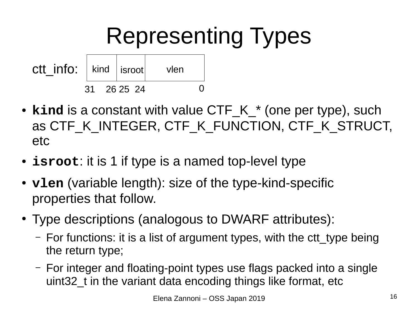#### Representing Types



- **kind** is a constant with value CTF K \* (one per type), such as CTF K INTEGER, CTF K FUNCTION, CTF K STRUCT, etc
- **isroot**: it is 1 if type is a named top-level type
- **vlen** (variable length): size of the type-kind-specific properties that follow.
- Type descriptions (analogous to DWARF attributes):
	- $-$  For functions: it is a list of argument types, with the ctt type being the return type;
	- For integer and floating-point types use flags packed into a single uint32 t in the variant data encoding things like format, etc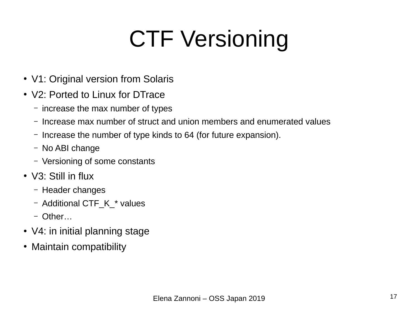# CTF Versioning

- V1: Original version from Solaris
- V2: Ported to Linux for DTrace
	- increase the max number of types
	- Increase max number of struct and union members and enumerated values
	- Increase the number of type kinds to 64 (for future expansion).
	- No ABI change
	- Versioning of some constants
- $\bullet$  V3: Still in flux
	- Header changes
	- Additional CTF\_K\_\* values
	- Other…
- V4: in initial planning stage
- Maintain compatibility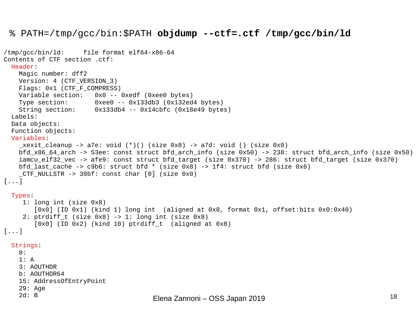#### % PATH=/tmp/gcc/bin:\$PATH **objdump --ctf=.ctf /tmp/gcc/bin/ld**

```
Elena Zannoni – OSS Japan 2019 18
/tmp/gcc/bin/ld: file format elf64-x86-64
Contents of CTF section .ctf:
   Header:
     Magic number: dff2
     Version: 4 (CTF_VERSION_3)
     Flags: 0x1 (CTF_F_COMPRESS)
     Variable section: 0x0 -- 0xedf (0xee0 bytes)
     Type section: 0xee0 -- 0x133db3 (0x132ed4 bytes)
     String section: 0x133db4 -- 0x14cbfc (0x18e49 bytes)
   Labels:
   Data objects:
   Function objects:
   Variables:
    \_xexit\_cleanup \rightarrow a7e: void (*)() (size 0x8) \rightarrow a7d: void () (size 0x0) bfd_x86_64_arch -> 53ee: const struct bfd_arch_info (size 0x50) -> 238: struct bfd_arch_info (size 0x50)
    iamcu elf32 vec -> afe9: const struct bfd target (size 0x370) -> 286: struct bfd target (size 0x370)
    bfd last cache -> c9b6: struct bfd * (size 0x8) -> 1f4: struct bfd (size 0x6)
    CTF NULLSTR \rightarrow 39bf: const char [0] (size 0x0)
[...]
   Types:
      1: long int (size 0x8)
         [0x0] (ID 0x1) (kind 1) long int (aligned at 0x8, format 0x1, offset:bits 0x0:0x40)
     2: ptrdiff t (size 0x8) -> 1: long int (size 0x8)
         [0x0] (ID 0x2) (kind 10) ptrdiff_t (aligned at 0x8)
[\ldots] Strings:
     0: 
     1: A
     3: AOUTHDR
     b: AOUTHDR64
     15: AddressOfEntryPoint
     29: Age
     2d: B
```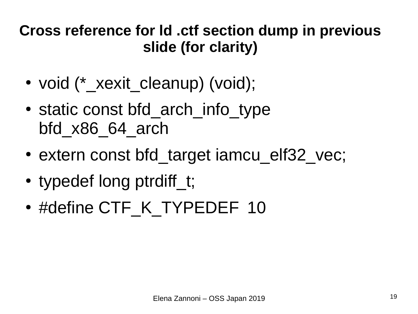#### **Cross reference for ld .ctf section dump in previous slide (for clarity)**

- void (\* xexit cleanup) (void);
- static const bfd arch info type bfd\_x86\_64\_arch
- extern const bfd target iamcu elf32 vec;
- typedef long ptrdiff t;
- #define CTF\_K\_TYPEDEF\_10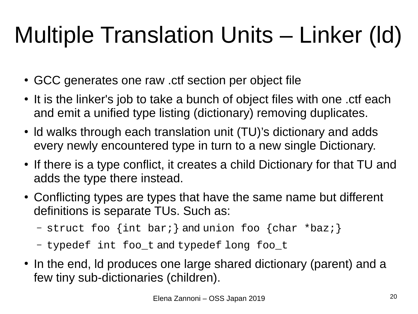# Multiple Translation Units – Linker (ld)

- GCC generates one raw .ctf section per object file
- It is the linker's job to take a bunch of object files with one .ctf each and emit a unified type listing (dictionary) removing duplicates.
- Id walks through each translation unit (TU)'s dictionary and adds every newly encountered type in turn to a new single Dictionary.
- If there is a type conflict, it creates a child Dictionary for that TU and adds the type there instead.
- Conflicting types are types that have the same name but different definitions is separate TUs. Such as:
	- struct foo {int bar;} and union foo {char \*baz;}
	- typedef int foo\_t and typedef long foo\_t
- In the end, Id produces one large shared dictionary (parent) and a few tiny sub-dictionaries (children).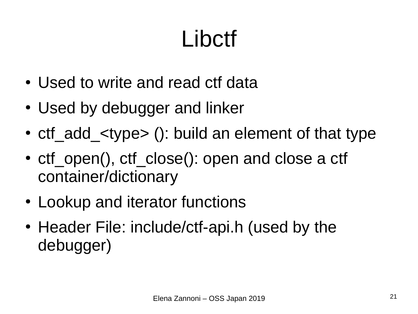# **Libctf**

- Used to write and read ctf data
- Used by debugger and linker
- ctf add  $lt; type$  (): build an element of that type
- ctf open(), ctf close(): open and close a ctf container/dictionary
- Lookup and iterator functions
- Header File: include/ctf-api.h (used by the debugger)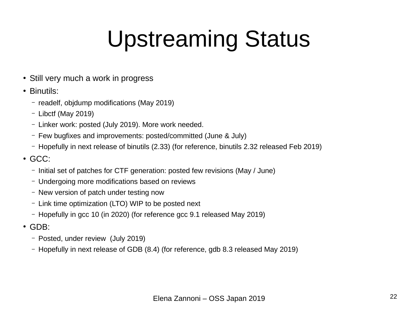## Upstreaming Status

- Still very much a work in progress
- Binutils:
	- readelf, objdump modifications (May 2019)
	- Libctf (May 2019)
	- Linker work: posted (July 2019). More work needed.
	- Few bugfixes and improvements: posted/committed (June & July)
	- Hopefully in next release of binutils (2.33) (for reference, binutils 2.32 released Feb 2019)
- $\cdot$  GCC $\cdot$ 
	- Initial set of patches for CTF generation: posted few revisions (May / June)
	- Undergoing more modifications based on reviews
	- New version of patch under testing now
	- Link time optimization (LTO) WIP to be posted next
	- Hopefully in gcc 10 (in 2020) (for reference gcc 9.1 released May 2019)
- $\cdot$  GDB:
	- Posted, under review (July 2019)
	- Hopefully in next release of GDB (8.4) (for reference, gdb 8.3 released May 2019)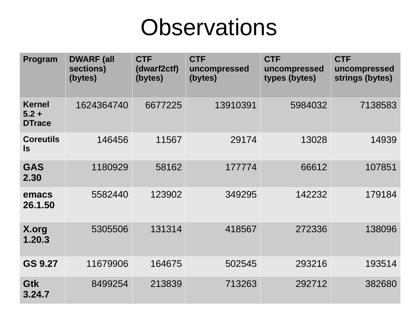#### **Observations**

| Program                                   | <b>DWARF (all</b><br>sections)<br>(bytes) | <b>CTF</b><br>(dwarf2ctf)<br>(bytes) | <b>CTF</b><br>uncompressed<br>(bytes) | <b>CTF</b><br>uncompressed<br>types (bytes) | <b>CTF</b><br>uncompressed<br>strings (bytes) |
|-------------------------------------------|-------------------------------------------|--------------------------------------|---------------------------------------|---------------------------------------------|-----------------------------------------------|
| <b>Kernel</b><br>$5.2 +$<br><b>DTrace</b> | 1624364740                                | 6677225                              | 13910391                              | 5984032                                     | 7138583                                       |
| <b>Coreutils</b><br><b>Is</b>             | 146456                                    | 11567                                | 29174                                 | 13028                                       | 14939                                         |
| <b>GAS</b><br>2.30                        | 1180929                                   | 58162                                | 177774                                | 66612                                       | 107851                                        |
| emacs<br>26.1.50                          | 5582440                                   | 123902                               | 349295                                | 142232                                      | 179184                                        |
| X.org<br>1.20.3                           | 5305506                                   | 131314                               | 418567                                | 272336                                      | 138096                                        |
| GS 9.27                                   | 11679906                                  | 164675                               | 502545                                | 293216                                      | 193514                                        |
| <b>Gtk</b><br>3.24.7                      | 8499254                                   | 213839                               | 713263                                | 292712                                      | 382680                                        |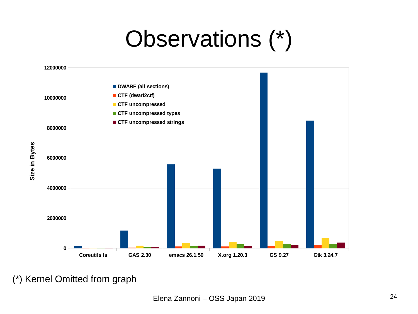## Observations (\*)



(\*) Kernel Omitted from graph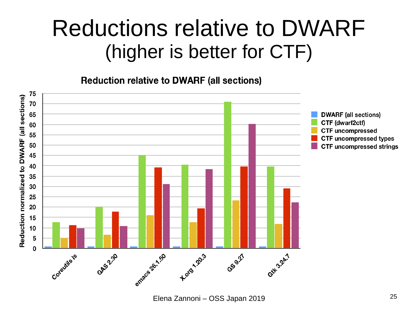#### Reductions relative to DWARF (higher is better for CTF)

**Reduction relative to DWARF (all sections)**